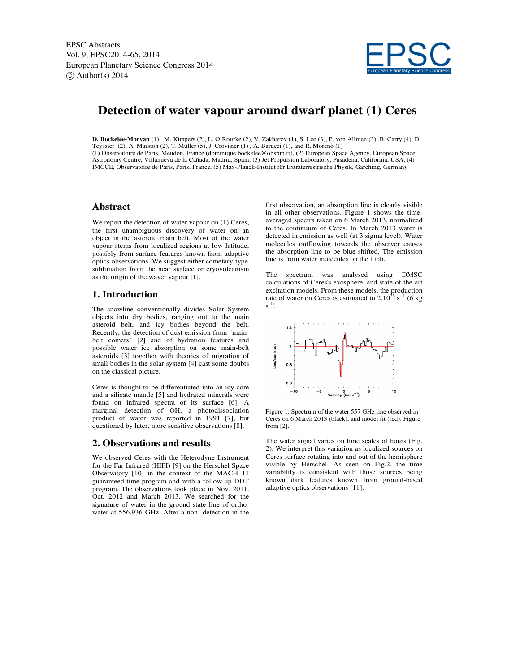

# **Detection of water vapour around dwarf planet (1) Ceres**

**D. Bockelée-Morvan** (1), M. Küppers (2), L. O'Rourke (2), V. Zakharov (1), S. Lee (3), P. von Allmen (3), B. Carry (4), D. Teyssier (2), A. Marston (2), T. Müller (5), J. Crovisier (1) , A. Barucci (1), and R. Moreno (1) (1) Observatoire de Paris, Meudon, France (dominique.bockelee@obspm.fr), (2) European Space Agency, European Space Astronomy Centre, Villanueva de la Cañada, Madrid, Spain, (3) Jet Propulsion Laboratory, Pasadena, California, USA, (4) IMCCE, Observatoire de Paris, Paris, France, (5) Max-Planck-Institut für Extraterrestrische Physik, Garching, Germany

#### **Abstract**

We report the detection of water vapour on  $(1)$  Ceres, the first unambiguous discovery of water on an object in the asteroid main belt. Most of the water vapour stems from localized regions at low latitude, possibly from surface features known from adaptive optics observations. We suggest either cometary-type sublimation from the near surface or cryovolcanism as the origin of the waver vapour [1].

### **1. Introduction**

The snowline conventionally divides Solar System objects into dry bodies, ranging out to the main asteroid belt, and icy bodies beyond the belt. Recently, the detection of dust emission from "mainbelt comets" [2] and of hydration features and possible water ice absorption on some main-belt asteroids [3] together with theories of migration of small bodies in the solar system [4] cast some doubts on the classical picture.

Ceres is thought to be differentiated into an icy core and a silicate mantle [5] and hydrated minerals were found on infrared spectra of its surface [6]. A marginal detection of OH, a photodissociation product of water was reported in 1991 [7], but questioned by later, more sensitive observations [8].

#### **2. Observations and results**

We observed Ceres with the Heterodyne Instrument for the Far Infrared (HIFI) [9] on the Herschel Space Observatory [10] in the context of the MACH 11 guaranteed time program and with a follow up DDT program. The observations took place in Nov. 2011, Oct. 2012 and March 2013. We searched for the signature of water in the ground state line of orthowater at 556.936 GHz. After a non- detection in the

first observation, an absorption line is clearly visible in all other observations. Figure 1 shows the timeaveraged spectra taken on 6 March 2013, normalized to the continuum of Ceres. In March 2013 water is detected in emission as well (at 3 sigma level). Water molecules outflowing towards the observer causes the absorption line to be blue-shifted. The emission line is from water molecules on the limb.

The spectrum was analysed using DMSC calculations of Ceres's exosphere, and state-of-the-art excitation models. From these models, the production rate of water on Ceres is estimated to 2.10<sup>26</sup> s*<sup>−</sup>*<sup>1</sup> (6 kg  $s^{-1}$ .



Figure 1: Spectrum of the water 557 GHz line observed in Ceres on 6 March 2013 (black), and model fit (red). Figure from [2].

The water signal varies on time scales of hours (Fig. 2). We interpret this variation as localized sources on Ceres surface rotating into and out of the hemisphere visible by Herschel. As seen on Fig.2, the time variability is consistent with those sources being known dark features known from ground-based adaptive optics observations [11].